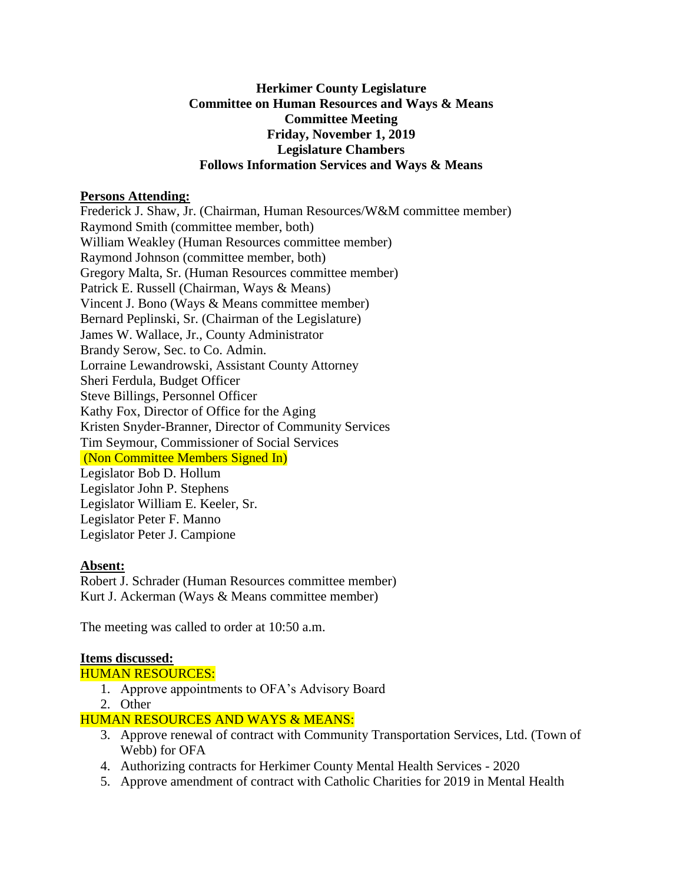### **Herkimer County Legislature Committee on Human Resources and Ways & Means Committee Meeting Friday, November 1, 2019 Legislature Chambers Follows Information Services and Ways & Means**

### **Persons Attending:**

Frederick J. Shaw, Jr. (Chairman, Human Resources/W&M committee member) Raymond Smith (committee member, both) William Weakley (Human Resources committee member) Raymond Johnson (committee member, both) Gregory Malta, Sr. (Human Resources committee member) Patrick E. Russell (Chairman, Ways & Means) Vincent J. Bono (Ways & Means committee member) Bernard Peplinski, Sr. (Chairman of the Legislature) James W. Wallace, Jr., County Administrator Brandy Serow, Sec. to Co. Admin. Lorraine Lewandrowski, Assistant County Attorney Sheri Ferdula, Budget Officer Steve Billings, Personnel Officer Kathy Fox, Director of Office for the Aging Kristen Snyder-Branner, Director of Community Services Tim Seymour, Commissioner of Social Services (Non Committee Members Signed In) Legislator Bob D. Hollum Legislator John P. Stephens Legislator William E. Keeler, Sr. Legislator Peter F. Manno Legislator Peter J. Campione

## **Absent:**

Robert J. Schrader (Human Resources committee member) Kurt J. Ackerman (Ways & Means committee member)

The meeting was called to order at 10:50 a.m.

## **Items discussed:**

#### HUMAN RESOURCES:

- 1. Approve appointments to OFA's Advisory Board
- 2. Other

## HUMAN RESOURCES AND WAYS & MEANS:

- 3. Approve renewal of contract with Community Transportation Services, Ltd. (Town of Webb) for OFA
- 4. Authorizing contracts for Herkimer County Mental Health Services 2020
- 5. Approve amendment of contract with Catholic Charities for 2019 in Mental Health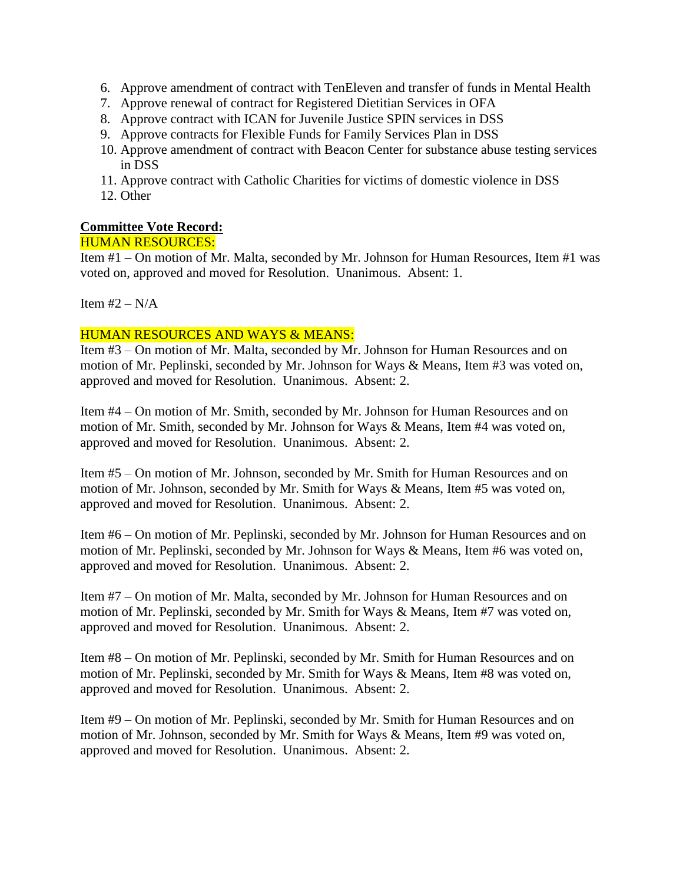- 6. Approve amendment of contract with TenEleven and transfer of funds in Mental Health
- 7. Approve renewal of contract for Registered Dietitian Services in OFA
- 8. Approve contract with ICAN for Juvenile Justice SPIN services in DSS
- 9. Approve contracts for Flexible Funds for Family Services Plan in DSS
- 10. Approve amendment of contract with Beacon Center for substance abuse testing services in DSS
- 11. Approve contract with Catholic Charities for victims of domestic violence in DSS
- 12. Other

### **Committee Vote Record:**

# HUMAN RESOURCES:

Item #1 – On motion of Mr. Malta, seconded by Mr. Johnson for Human Resources, Item #1 was voted on, approved and moved for Resolution. Unanimous. Absent: 1.

Item  $#2 - N/A$ 

#### HUMAN RESOURCES AND WAYS & MEANS:

Item #3 – On motion of Mr. Malta, seconded by Mr. Johnson for Human Resources and on motion of Mr. Peplinski, seconded by Mr. Johnson for Ways & Means, Item #3 was voted on, approved and moved for Resolution. Unanimous. Absent: 2.

Item #4 – On motion of Mr. Smith, seconded by Mr. Johnson for Human Resources and on motion of Mr. Smith, seconded by Mr. Johnson for Ways & Means, Item #4 was voted on, approved and moved for Resolution. Unanimous. Absent: 2.

Item #5 – On motion of Mr. Johnson, seconded by Mr. Smith for Human Resources and on motion of Mr. Johnson, seconded by Mr. Smith for Ways & Means, Item #5 was voted on, approved and moved for Resolution. Unanimous. Absent: 2.

Item #6 – On motion of Mr. Peplinski, seconded by Mr. Johnson for Human Resources and on motion of Mr. Peplinski, seconded by Mr. Johnson for Ways & Means, Item #6 was voted on, approved and moved for Resolution. Unanimous. Absent: 2.

Item #7 – On motion of Mr. Malta, seconded by Mr. Johnson for Human Resources and on motion of Mr. Peplinski, seconded by Mr. Smith for Ways & Means, Item #7 was voted on, approved and moved for Resolution. Unanimous. Absent: 2.

Item #8 – On motion of Mr. Peplinski, seconded by Mr. Smith for Human Resources and on motion of Mr. Peplinski, seconded by Mr. Smith for Ways & Means, Item #8 was voted on, approved and moved for Resolution. Unanimous. Absent: 2.

Item #9 – On motion of Mr. Peplinski, seconded by Mr. Smith for Human Resources and on motion of Mr. Johnson, seconded by Mr. Smith for Ways & Means, Item #9 was voted on, approved and moved for Resolution. Unanimous. Absent: 2.